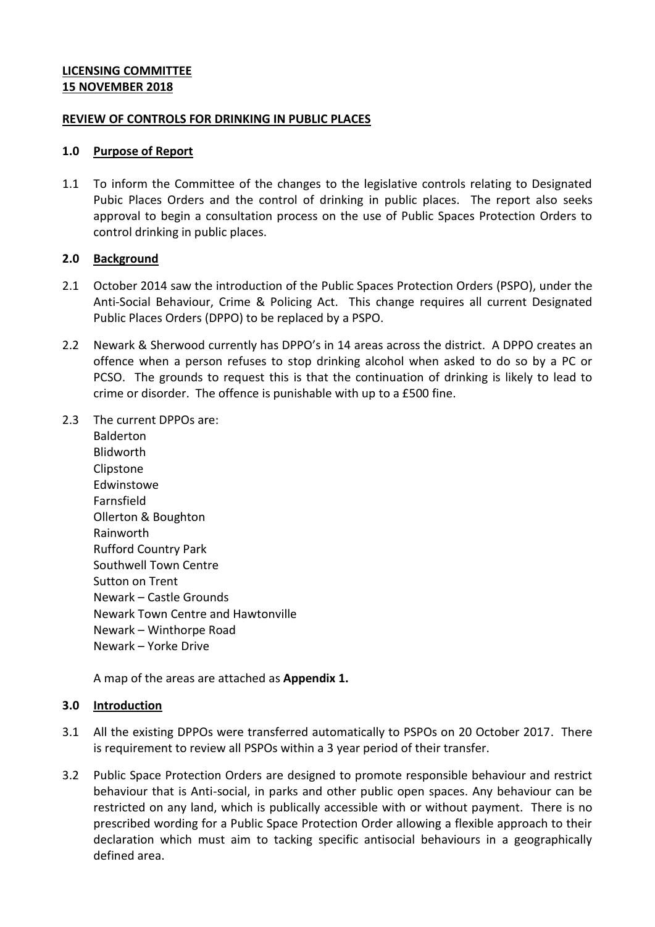## **LICENSING COMMITTEE 15 NOVEMBER 2018**

### **REVIEW OF CONTROLS FOR DRINKING IN PUBLIC PLACES**

#### **1.0 Purpose of Report**

1.1 To inform the Committee of the changes to the legislative controls relating to Designated Pubic Places Orders and the control of drinking in public places. The report also seeks approval to begin a consultation process on the use of Public Spaces Protection Orders to control drinking in public places.

#### **2.0 Background**

- 2.1 October 2014 saw the introduction of the Public Spaces Protection Orders (PSPO), under the Anti-Social Behaviour, Crime & Policing Act. This change requires all current Designated Public Places Orders (DPPO) to be replaced by a PSPO.
- 2.2 Newark & Sherwood currently has DPPO's in 14 areas across the district. A DPPO creates an offence when a person refuses to stop drinking alcohol when asked to do so by a PC or PCSO. The grounds to request this is that the continuation of drinking is likely to lead to crime or disorder. The offence is punishable with up to a £500 fine.
- 2.3 The current DPPOs are:
	- Balderton Blidworth Clipstone **Edwinstowe** Farnsfield Ollerton & Boughton Rainworth Rufford Country Park Southwell Town Centre Sutton on Trent Newark – Castle Grounds Newark Town Centre and Hawtonville Newark – Winthorpe Road Newark – Yorke Drive

A map of the areas are attached as **Appendix 1.**

### **3.0 Introduction**

- 3.1 All the existing DPPOs were transferred automatically to PSPOs on 20 October 2017. There is requirement to review all PSPOs within a 3 year period of their transfer.
- 3.2 Public Space Protection Orders are designed to promote responsible behaviour and restrict behaviour that is Anti-social, in parks and other public open spaces. Any behaviour can be restricted on any land, which is publically accessible with or without payment. There is no prescribed wording for a Public Space Protection Order allowing a flexible approach to their declaration which must aim to tacking specific antisocial behaviours in a geographically defined area.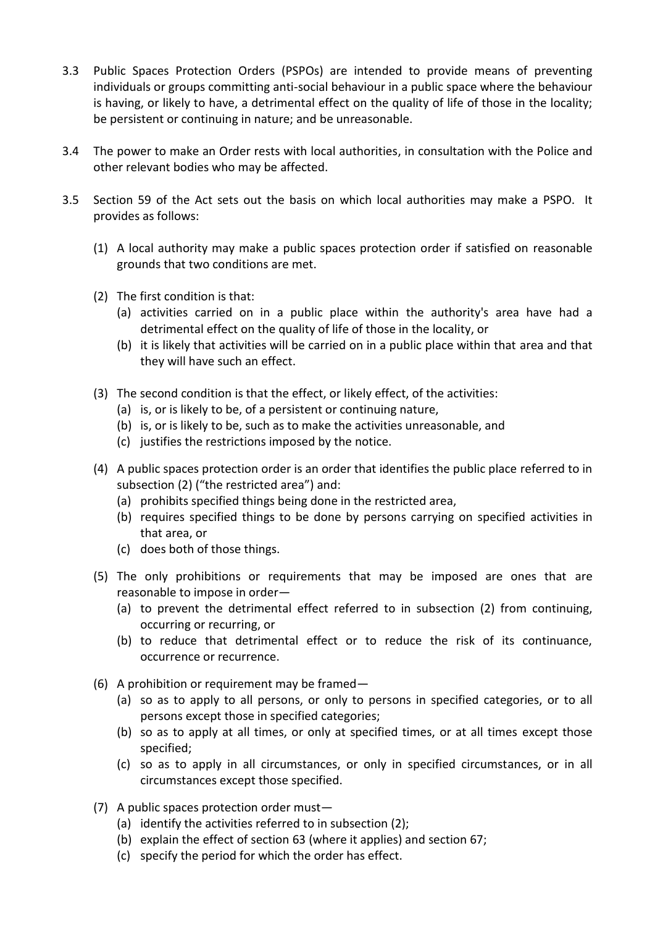- 3.3 Public Spaces Protection Orders (PSPOs) are intended to provide means of preventing individuals or groups committing anti-social behaviour in a public space where the behaviour is having, or likely to have, a detrimental effect on the quality of life of those in the locality; be persistent or continuing in nature; and be unreasonable.
- 3.4 The power to make an Order rests with local authorities, in consultation with the Police and other relevant bodies who may be affected.
- 3.5 Section 59 of the Act sets out the basis on which local authorities may make a PSPO. It provides as follows:
	- (1) A local authority may make a public spaces protection order if satisfied on reasonable grounds that two conditions are met.
	- (2) The first condition is that:
		- (a) activities carried on in a public place within the authority's area have had a detrimental effect on the quality of life of those in the locality, or
		- (b) it is likely that activities will be carried on in a public place within that area and that they will have such an effect.
	- (3) The second condition is that the effect, or likely effect, of the activities:
		- (a) is, or is likely to be, of a persistent or continuing nature,
		- (b) is, or is likely to be, such as to make the activities unreasonable, and
		- (c) justifies the restrictions imposed by the notice.
	- (4) A public spaces protection order is an order that identifies the public place referred to in subsection (2) ("the restricted area") and:
		- (a) prohibits specified things being done in the restricted area,
		- (b) requires specified things to be done by persons carrying on specified activities in that area, or
		- (c) does both of those things.
	- (5) The only prohibitions or requirements that may be imposed are ones that are reasonable to impose in order—
		- (a) to prevent the detrimental effect referred to in subsection (2) from continuing, occurring or recurring, or
		- (b) to reduce that detrimental effect or to reduce the risk of its continuance, occurrence or recurrence.
	- (6) A prohibition or requirement may be framed—
		- (a) so as to apply to all persons, or only to persons in specified categories, or to all persons except those in specified categories;
		- (b) so as to apply at all times, or only at specified times, or at all times except those specified;
		- (c) so as to apply in all circumstances, or only in specified circumstances, or in all circumstances except those specified.
	- (7) A public spaces protection order must—
		- (a) identify the activities referred to in subsection (2);
		- (b) explain the effect of section 63 (where it applies) and section 67;
		- (c) specify the period for which the order has effect.